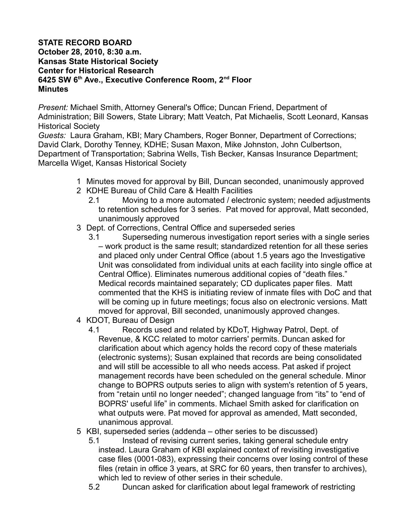## **STATE RECORD BOARD October 28, 2010, 8:30 a.m. Kansas State Historical Society Center for Historical Research 6425 SW 6th Ave., Executive Conference Room, 2nd Floor Minutes**

*Present:* Michael Smith, Attorney General's Office; Duncan Friend, Department of Administration; Bill Sowers, State Library; Matt Veatch, Pat Michaelis, Scott Leonard, Kansas Historical Society

*Guests:* Laura Graham, KBI; Mary Chambers, Roger Bonner, Department of Corrections; David Clark, Dorothy Tenney, KDHE; Susan Maxon, Mike Johnston, John Culbertson, Department of Transportation; Sabrina Wells, Tish Becker, Kansas Insurance Department; Marcella Wiget, Kansas Historical Society

- 1 Minutes moved for approval by Bill, Duncan seconded, unanimously approved
- 2 KDHE Bureau of Child Care & Health Facilities
	- 2.1 Moving to a more automated / electronic system; needed adjustments to retention schedules for 3 series. Pat moved for approval, Matt seconded, unanimously approved
- 3 Dept. of Corrections, Central Office and superseded series
	- 3.1 Superseding numerous investigation report series with a single series – work product is the same result; standardized retention for all these series and placed only under Central Office (about 1.5 years ago the Investigative Unit was consolidated from individual units at each facility into single office at Central Office). Eliminates numerous additional copies of "death files." Medical records maintained separately; CD duplicates paper files. Matt commented that the KHS is initiating review of inmate files with DoC and that will be coming up in future meetings; focus also on electronic versions. Matt moved for approval, Bill seconded, unanimously approved changes.
- 4 KDOT, Bureau of Design
	- 4.1 Records used and related by KDoT, Highway Patrol, Dept. of Revenue, & KCC related to motor carriers' permits. Duncan asked for clarification about which agency holds the record copy of these materials (electronic systems); Susan explained that records are being consolidated and will still be accessible to all who needs access. Pat asked if project management records have been scheduled on the general schedule. Minor change to BOPRS outputs series to align with system's retention of 5 years, from "retain until no longer needed"; changed language from "its" to "end of BOPRS' useful life" in comments. Michael Smith asked for clarification on what outputs were. Pat moved for approval as amended, Matt seconded, unanimous approval.
- 5 KBI, superseded series (addenda other series to be discussed)
	- 5.1 Instead of revising current series, taking general schedule entry instead. Laura Graham of KBI explained context of revisiting investigative case files (0001-083), expressing their concerns over losing control of these files (retain in office 3 years, at SRC for 60 years, then transfer to archives), which led to review of other series in their schedule.
	- 5.2 Duncan asked for clarification about legal framework of restricting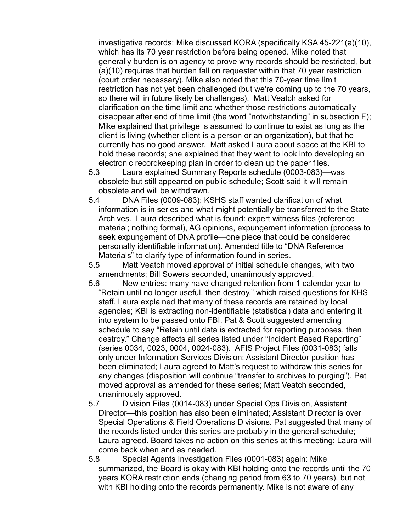investigative records; Mike discussed KORA (specifically KSA 45-221(a)(10), which has its 70 year restriction before being opened. Mike noted that generally burden is on agency to prove why records should be restricted, but (a)(10) requires that burden fall on requester within that 70 year restriction (court order necessary). Mike also noted that this 70-year time limit restriction has not yet been challenged (but we're coming up to the 70 years, so there will in future likely be challenges). Matt Veatch asked for clarification on the time limit and whether those restrictions automatically disappear after end of time limit (the word "notwithstanding" in subsection F); Mike explained that privilege is assumed to continue to exist as long as the client is living (whether client is a person or an organization), but that he currently has no good answer. Matt asked Laura about space at the KBI to hold these records; she explained that they want to look into developing an electronic recordkeeping plan in order to clean up the paper files.

- 5.3 Laura explained Summary Reports schedule (0003-083)—was obsolete but still appeared on public schedule; Scott said it will remain obsolete and will be withdrawn.
- 5.4 DNA Files (0009-083): KSHS staff wanted clarification of what information is in series and what might potentially be transferred to the State Archives. Laura described what is found: expert witness files (reference material; nothing formal), AG opinions, expungement information (process to seek expungement of DNA profile—one piece that could be considered personally identifiable information). Amended title to "DNA Reference Materials" to clarify type of information found in series.
- 5.5 Matt Veatch moved approval of initial schedule changes, with two amendments; Bill Sowers seconded, unanimously approved.
- 5.6 New entries: many have changed retention from 1 calendar year to "Retain until no longer useful, then destroy," which raised questions for KHS staff. Laura explained that many of these records are retained by local agencies; KBI is extracting non-identifiable (statistical) data and entering it into system to be passed onto FBI. Pat & Scott suggested amending schedule to say "Retain until data is extracted for reporting purposes, then destroy." Change affects all series listed under "Incident Based Reporting" (series 0034, 0023, 0004, 0024-083). AFIS Project Files (0031-083) falls only under Information Services Division; Assistant Director position has been eliminated; Laura agreed to Matt's request to withdraw this series for any changes (disposition will continue "transfer to archives to purging"). Pat moved approval as amended for these series; Matt Veatch seconded, unanimously approved.
- 5.7 Division Files (0014-083) under Special Ops Division, Assistant Director—this position has also been eliminated; Assistant Director is over Special Operations & Field Operations Divisions. Pat suggested that many of the records listed under this series are probably in the general schedule; Laura agreed. Board takes no action on this series at this meeting; Laura will come back when and as needed.
- 5.8 Special Agents Investigation Files (0001-083) again: Mike summarized, the Board is okay with KBI holding onto the records until the 70 years KORA restriction ends (changing period from 63 to 70 years), but not with KBI holding onto the records permanently. Mike is not aware of any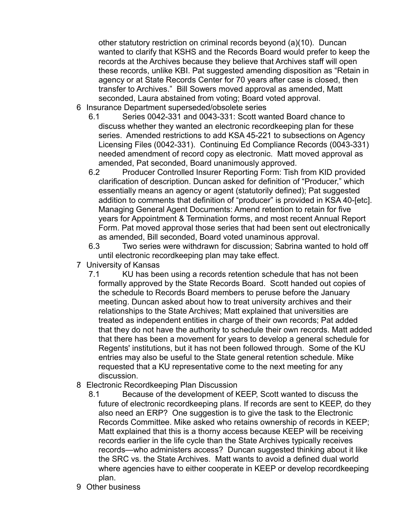other statutory restriction on criminal records beyond (a)(10). Duncan wanted to clarify that KSHS and the Records Board would prefer to keep the records at the Archives because they believe that Archives staff will open these records, unlike KBI. Pat suggested amending disposition as "Retain in agency or at State Records Center for 70 years after case is closed, then transfer to Archives." Bill Sowers moved approval as amended, Matt seconded, Laura abstained from voting; Board voted approval.

- 6 Insurance Department superseded/obsolete series
	- 6.1 Series 0042-331 and 0043-331: Scott wanted Board chance to discuss whether they wanted an electronic recordkeeping plan for these series. Amended restrictions to add KSA 45-221 to subsections on Agency Licensing Files (0042-331). Continuing Ed Compliance Records (0043-331) needed amendment of record copy as electronic. Matt moved approval as amended, Pat seconded, Board unanimously approved.
	- 6.2 Producer Controlled Insurer Reporting Form: Tish from KID provided clarification of description. Duncan asked for definition of "Producer," which essentially means an agency or agent (statutorily defined); Pat suggested addition to comments that definition of "producer" is provided in KSA 40-[etc]. Managing General Agent Documents: Amend retention to retain for five years for Appointment & Termination forms, and most recent Annual Report Form. Pat moved approval those series that had been sent out electronically as amended, Bill seconded, Board voted unaminous approval.
	- 6.3 Two series were withdrawn for discussion; Sabrina wanted to hold off until electronic recordkeeping plan may take effect.
- 7 University of Kansas
	- 7.1 KU has been using a records retention schedule that has not been formally approved by the State Records Board. Scott handed out copies of the schedule to Records Board members to peruse before the January meeting. Duncan asked about how to treat university archives and their relationships to the State Archives; Matt explained that universities are treated as independent entities in charge of their own records; Pat added that they do not have the authority to schedule their own records. Matt added that there has been a movement for years to develop a general schedule for Regents' institutions, but it has not been followed through. Some of the KU entries may also be useful to the State general retention schedule. Mike requested that a KU representative come to the next meeting for any discussion.
- 8 Electronic Recordkeeping Plan Discussion
	- 8.1 Because of the development of KEEP, Scott wanted to discuss the future of electronic recordkeeping plans. If records are sent to KEEP, do they also need an ERP? One suggestion is to give the task to the Electronic Records Committee. Mike asked who retains ownership of records in KEEP; Matt explained that this is a thorny access because KEEP will be receiving records earlier in the life cycle than the State Archives typically receives records—who administers access? Duncan suggested thinking about it like the SRC vs. the State Archives. Matt wants to avoid a defined dual world where agencies have to either cooperate in KEEP or develop recordkeeping plan.
- 9 Other business